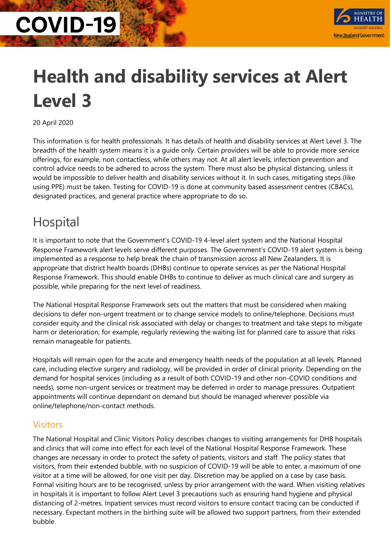

## **Health and disability services at Alert Level 3**

20 April 2020

This information is for health professionals. It has details of health and disability services at Alert Level 3. The breadth of the health system means it is a guide only. Certain providers will be able to provide more service offerings, for example, non contactless, while others may not. At all alert levels, infection prevention and control advice needs to be adhered to across the system. There must also be physical distancing, unless it would be impossible to deliver health and disability services without it. In such cases, mitigating steps (like using PPE) must be taken. Testing for COVID-19 is done at community based assessment centres (CBACs), designated practices, and general practice where appropriate to do so.

### Hospital

It is important to note that the Government's COVID-19 4-level alert system and the National Hospital Response Framework alert levels serve different purposes. The Government's COVID-19 alert system is being implemented as a response to help break the chain of transmission across all New Zealanders. It is appropriate that district health boards (DHBs) continue to operate services as per the National Hospital Response Framework. This should enable DHBs to continue to deliver as much clinical care and surgery as possible, while preparing for the next level of readiness.

The National Hospital Response Framework sets out the matters that must be considered when making decisions to defer non-urgent treatment or to change service models to online/telephone. Decisions must consider equity and the clinical risk associated with delay or changes to treatment and take steps to mitigate harm or deterioration, for example, regularly reviewing the waiting list for planned care to assure that risks remain manageable for patients.

Hospitals will remain open for the acute and emergency health needs of the population at all levels. Planned care, including elective surgery and radiology, will be provided in order of clinical priority. Depending on the demand for hospital services (including as a result of both COVID-19 and other non-COVID conditions and needs), some non-urgent services or treatment may be deferred in order to manage pressures. Outpatient appointments will continue dependant on demand but should be managed wherever possible via online/telephone/non-contact methods.

#### **Visitors**

The National Hospital and Clinic Visitors Policy describes changes to visiting arrangements for DHB hospitals and clinics that will come into effect for each level of the National Hospital Response Framework. These changes are necessary in order to protect the safety of patients, visitors and staff. The policy states that visitors, from their extended bubble, with no suspicion of COVID-19 will be able to enter, a maximum of one visitor at a time will be allowed, for one visit per day. Discretion may be applied on a case by case basis. Formal visiting hours are to be recognised, unless by prior arrangement with the ward. When visiting relatives in hospitals it is important to follow Alert Level 3 precautions such as ensuring hand hygiene and physical distancing of 2-metres. Inpatient services must record visitors to ensure contact tracing can be conducted if necessary. Expectant mothers in the birthing suite will be allowed two support partners, from their extended bubble.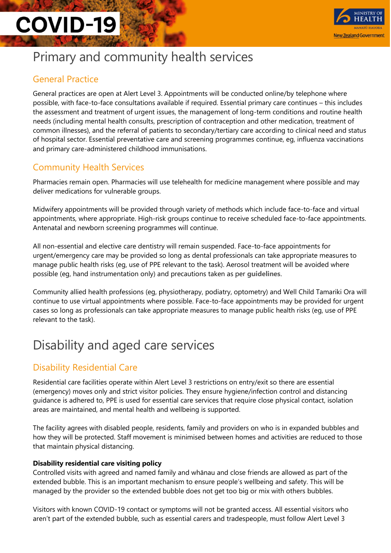

### Primary and community health services

#### General Practice

General practices are open at Alert Level 3. Appointments will be conducted online/by telephone where possible, with face-to-face consultations available if required. Essential primary care continues – this includes the assessment and treatment of urgent issues, the management of long-term conditions and routine health needs (including mental health consults, prescription of contraception and other medication, treatment of common illnesses), and the referral of patients to secondary/tertiary care according to clinical need and status of hospital sector. Essential preventative care and screening programmes continue, eg, influenza vaccinations and primary care-administered childhood immunisations.

#### Community Health Services

Pharmacies remain open. Pharmacies will use telehealth for medicine management where possible and may deliver medications for vulnerable groups.

Midwifery appointments will be provided through variety of methods which include face-to-face and virtual appointments, where appropriate. High-risk groups continue to receive scheduled face-to-face appointments. Antenatal and newborn screening programmes will continue.

All non-essential and elective care dentistry will remain suspended. Face-to-face appointments for urgent/emergency care may be provided so long as dental professionals can take appropriate measures to manage public health risks (eg, use of PPE relevant to the task). Aerosol treatment will be avoided where possible (eg, hand instrumentation only) and precautions taken as per **[guidelines](https://www.dcnz.org.nz/assets/Uploads/COVID/Guidelines-at-Alert-Level-4-updated-31Mar20.pdf)**.

Community allied health professions (eg, physiotherapy, podiatry, optometry) and Well Child Tamariki Ora will continue to use virtual appointments where possible. Face-to-face appointments may be provided for urgent cases so long as professionals can take appropriate measures to manage public health risks (eg, use of PPE relevant to the task).

### Disability and aged care services

#### Disability Residential Care

Residential care facilities operate within Alert Level 3 restrictions on entry/exit so there are essential (emergency) moves only and strict visitor policies. They ensure hygiene/infection control and distancing guidance is adhered to, PPE is used for essential care services that require close physical contact, isolation areas are maintained, and mental health and wellbeing is supported.

The facility agrees with disabled people, residents, family and providers on who is in expanded bubbles and how they will be protected. Staff movement is minimised between homes and activities are reduced to those that maintain physical distancing.

#### **Disability residential care visiting policy**

Controlled visits with agreed and named family and whānau and close friends are allowed as part of the extended bubble. This is an important mechanism to ensure people's wellbeing and safety. This will be managed by the provider so the extended bubble does not get too big or mix with others bubbles.

Visitors with known COVID-19 contact or symptoms will not be granted access. All essential visitors who aren't part of the extended bubble, such as essential carers and tradespeople, must follow Alert Level 3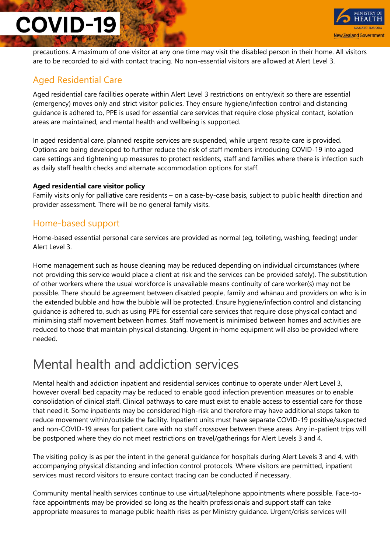

precautions. A maximum of one visitor at any one time may visit the disabled person in their home. All visitors are to be recorded to aid with contact tracing. No non-essential visitors are allowed at Alert Level 3.

#### Aged Residential Care

Aged residential care facilities operate within Alert Level 3 restrictions on entry/exit so there are essential (emergency) moves only and strict visitor policies. They ensure hygiene/infection control and distancing guidance is adhered to, PPE is used for essential care services that require close physical contact, isolation areas are maintained, and mental health and wellbeing is supported.

In aged residential care, planned respite services are suspended, while urgent respite care is provided. Options are being developed to further reduce the risk of staff members introducing COVID-19 into aged care settings and tightening up measures to protect residents, staff and families where there is infection such as daily staff health checks and alternate accommodation options for staff.

#### **Aged residential care visitor policy**

Family visits only for palliative care residents – on a case-by-case basis, subject to public health direction and provider assessment. There will be no general family visits.

#### Home-based support

Home-based essential personal care services are provided as normal (eg, toileting, washing, feeding) under Alert Level 3.

Home management such as house cleaning may be reduced depending on individual circumstances (where not providing this service would place a client at risk and the services can be provided safely). The substitution of other workers where the usual workforce is unavailable means continuity of care worker(s) may not be possible. There should be agreement between disabled people, family and whānau and providers on who is in the extended bubble and how the bubble will be protected. Ensure hygiene/infection control and distancing guidance is adhered to, such as using PPE for essential care services that require close physical contact and minimising staff movement between homes. Staff movement is minimised between homes and activities are reduced to those that maintain physical distancing. Urgent in-home equipment will also be provided where needed.

### Mental health and addiction services

Mental health and addiction inpatient and residential services continue to operate under Alert Level 3, however overall bed capacity may be reduced to enable good infection prevention measures or to enable consolidation of clinical staff. Clinical pathways to care must exist to enable access to essential care for those that need it. Some inpatients may be considered high-risk and therefore may have additional steps taken to reduce movement within/outside the facility. Inpatient units must have separate COVID-19 positive/suspected and non-COVID-19 areas for patient care with no staff crossover between these areas. Any in-patient trips will be postponed where they do not meet restrictions on travel/gatherings for Alert Levels 3 and 4.

The visiting policy is as per the intent in the general guidance for hospitals during Alert Levels 3 and 4, with accompanying physical distancing and infection control protocols. Where visitors are permitted, inpatient services must record visitors to ensure contact tracing can be conducted if necessary.

Community mental health services continue to use virtual/telephone appointments where possible. Face-toface appointments may be provided so long as the health professionals and support staff can take appropriate measures to manage public health risks as per Ministry guidance. Urgent/crisis services will